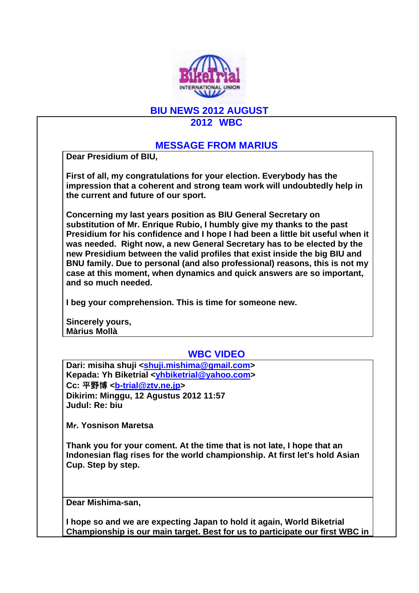

### **BIU NEWS 2012 AUGUST**

### **2012 WBC**

### **MESSAGE FROM MARIUS**

**Dear Presidium of BIU,**

**First of all, my congratulations for your election. Everybody has the impression that a coherent and strong team work will undoubtedly help in the current and future of our sport.** 

**Concerning my last years position as BIU General Secretary on substitution of Mr. Enrique Rubio, I humbly give my thanks to the past Presidium for his confidence and I hope I had been a little bit useful when it was needed. Right now, a new General Secretary has to be elected by the new Presidium between the valid profiles that exist inside the big BIU and BNU family. Due to personal (and also professional) reasons, this is not my case at this moment, when dynamics and quick answers are so important, and so much needed.** 

**I beg your comprehension. This is time for someone new.**

**Sincerely yours, Màrius Mollà**

# **WBC VIDEO**

**Dari: misiha shuji <shuji.mishima@gmail.com> Kepada: Yh Biketrial <yhbiketrial@yahoo.com> Cc:** 平野博 **<b-trial@ztv.ne.jp> Dikirim: Minggu, 12 Agustus 2012 11:57 Judul: Re: biu**

**M**r**. Yosnison Maretsa** 

**Thank you for your coment. At the time that is not late, I hope that an Indonesian flag rises for the world championship. At first let's hold Asian Cup. Step by step.**

**Dear Mishima-san,**

**I hope so and we are expecting Japan to hold it again, World Biketrial Championship is our main target. Best for us to participate our first WBC in**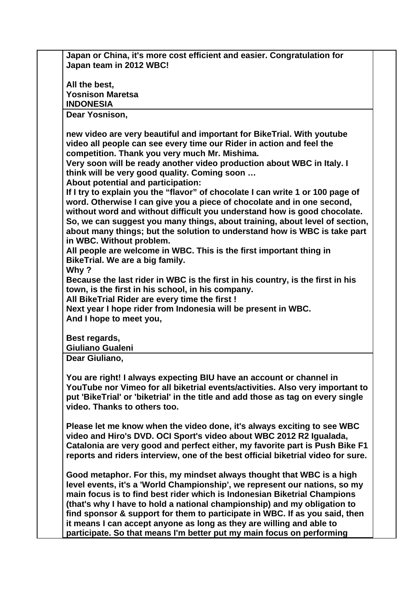**Japan or China, it's more cost efficient and easier. Congratulation for Japan team in 2012 WBC!**

**All the best, Yosnison Maretsa INDONESIA**

**Dear Yosnison,**

**new video are very beautiful and important for BikeTrial. With youtube video all people can see every time our Rider in action and feel the competition. Thank you very much Mr. Mishima.**

**Very soon will be ready another video production about WBC in Italy. I think will be very good quality. Coming soon …** 

**About potential and participation:**

**If I try to explain you the "flavor" of chocolate I can write 1 or 100 page of word. Otherwise I can give you a piece of chocolate and in one second, without word and without difficult you understand how is good chocolate. So, we can suggest you many things, about training, about level of section, about many things; but the solution to understand how is WBC is take part in WBC. Without problem.**

**All people are welcome in WBC. This is the first important thing in BikeTrial. We are a big family.** 

**Why ?**

**Because the last rider in WBC is the first in his country, is the first in his town, is the first in his school, in his company.** 

**All BikeTrial Rider are every time the first !**

**Next year I hope rider from Indonesia will be present in WBC. And I hope to meet you,**

**Best regards,**

**Giuliano Gualeni**

**Dear Giuliano,**

**You are right! I always expecting BIU have an account or channel in YouTube nor Vimeo for all biketrial events/activities. Also very important to put 'BikeTrial' or 'biketrial' in the title and add those as tag on every single video. Thanks to others too.**

**Please let me know when the video done, it's always exciting to see WBC video and Hiro's DVD. OCI Sport's video about WBC 2012 R2 Igualada, Catalonia are very good and perfect either, my favorite part is Push Bike F1 reports and riders interview, one of the best official biketrial video for sure.**

**Good metaphor. For this, my mindset always thought that WBC is a high level events, it's a 'World Championship', we represent our nations, so my main focus is to find best rider which is Indonesian Biketrial Champions (that's why I have to hold a national championship) and my obligation to find sponsor & support for them to participate in WBC. If as you said, then it means I can accept anyone as long as they are willing and able to participate. So that means I'm better put my main focus on performing**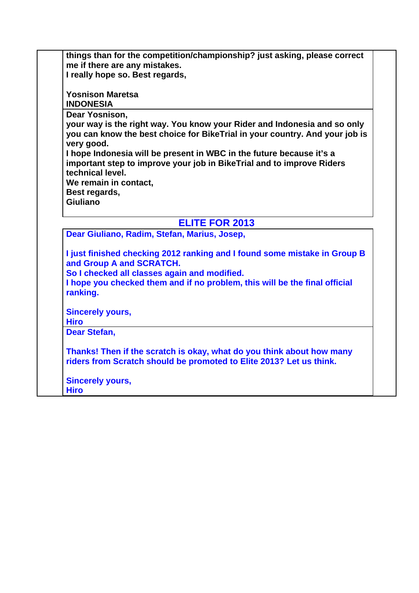**things than for the competition/championship? just asking, please correct me if there are any mistakes. I really hope so. Best regards,**

**Yosnison Maretsa INDONESIA**

**Dear Yosnison,**

**your way is the right way. You know your Rider and Indonesia and so only you can know the best choice for BikeTrial in your country. And your job is very good.** 

**I hope Indonesia will be present in WBC in the future because it's a important step to improve your job in BikeTrial and to improve Riders technical level.**

**We remain in contact,**

**Best regards,**

**Giuliano**

# **ELITE FOR 2013**

**Dear Giuliano, Radim, Stefan, Marius, Josep,**

**I just finished checking 2012 ranking and I found some mistake in Group B and Group A and SCRATCH.**

**So I checked all classes again and modified.**

**I hope you checked them and if no problem, this will be the final official ranking.**

**Sincerely yours,**

**Hiro**

**Dear Stefan,**

**Thanks! Then if the scratch is okay, what do you think about how many riders from Scratch should be promoted to Elite 2013? Let us think.**

**Sincerely yours, Hiro**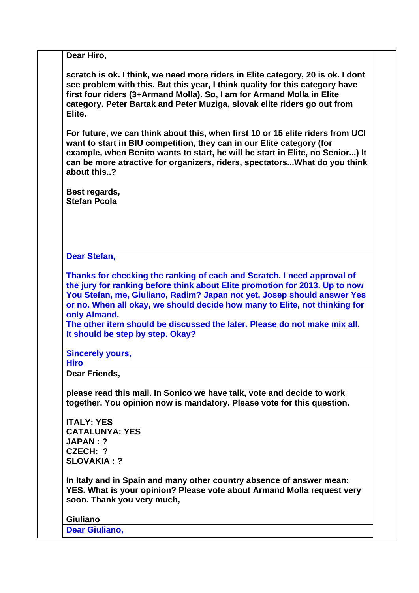**Dear Hiro,**

**scratch is ok. I think, we need more riders in Elite category, 20 is ok. I dont see problem with this. But this year, I think quality for this category have first four riders (3+Armand Molla). So, I am for Armand Molla in Elite category. Peter Bartak and Peter Muziga, slovak elite riders go out from Elite.**

**For future, we can think about this, when first 10 or 15 elite riders from UCI want to start in BIU competition, they can in our Elite category (for example, when Benito wants to start, he will be start in Elite, no Senior...) It can be more atractive for organizers, riders, spectators...What do you think about this..?**

**Best regards, Stefan Pcola**

**Dear Stefan,**

**Thanks for checking the ranking of each and Scratch. I need approval of the jury for ranking before think about Elite promotion for 2013. Up to now You Stefan, me, Giuliano, Radim? Japan not yet, Josep should answer Yes or no. When all okay, we should decide how many to Elite, not thinking for only Almand.** 

**The other item should be discussed the later. Please do not make mix all. It should be step by step. Okay?**

**Sincerely yours,**

**Hiro**

**Dear Friends,**

**please read this mail. In Sonico we have talk, vote and decide to work together. You opinion now is mandatory. Please vote for this question.**

**ITALY: YES CATALUNYA: YES JAPAN : ? CZECH: ? SLOVAKIA : ?**

**In Italy and in Spain and many other country absence of answer mean: YES. What is your opinion? Please vote about Armand Molla request very soon. Thank you very much,**

**Giuliano Dear Giuliano,**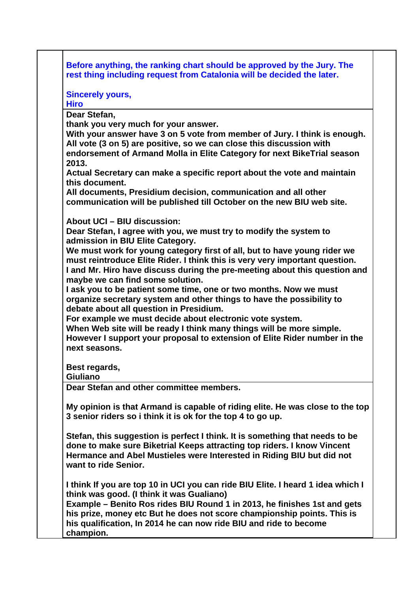**Before anything, the ranking chart should be approved by the Jury. The rest thing including request from Catalonia will be decided the later.**

**Sincerely yours,**

**Hiro**

**Dear Stefan,**

**thank you very much for your answer.** 

**With your answer have 3 on 5 vote from member of Jury. I think is enough. All vote (3 on 5) are positive, so we can close this discussion with endorsement of Armand Molla in Elite Category for next BikeTrial season 2013.** 

**Actual Secretary can make a specific report about the vote and maintain this document.** 

**All documents, Presidium decision, communication and all other communication will be published till October on the new BIU web site.** 

**About UCI – BIU discussion:**

**Dear Stefan, I agree with you, we must try to modify the system to admission in BIU Elite Category.** 

**We must work for young category first of all, but to have young rider we must reintroduce Elite Rider. I think this is very very important question. I and Mr. Hiro have discuss during the pre-meeting about this question and maybe we can find some solution.**

**I ask you to be patient some time, one or two months. Now we must organize secretary system and other things to have the possibility to debate about all question in Presidium.** 

**For example we must decide about electronic vote system.** 

**When Web site will be ready I think many things will be more simple. However I support your proposal to extension of Elite Rider number in the next seasons.** 

**Best regards,**

**Giuliano**

**Dear Stefan and other committee members.**

**My opinion is that Armand is capable of riding elite. He was close to the top 3 senior riders so i think it is ok for the top 4 to go up.**

**Stefan, this suggestion is perfect I think. It is something that needs to be done to make sure Biketrial Keeps attracting top riders. I know Vincent Hermance and Abel Mustieles were Interested in Riding BIU but did not want to ride Senior.**

**I think If you are top 10 in UCI you can ride BIU Elite. I heard 1 idea which I think was good. (I think it was Gualiano)**

**Example – Benito Ros rides BIU Round 1 in 2013, he finishes 1st and gets his prize, money etc But he does not score championship points. This is his qualification, In 2014 he can now ride BIU and ride to become champion.**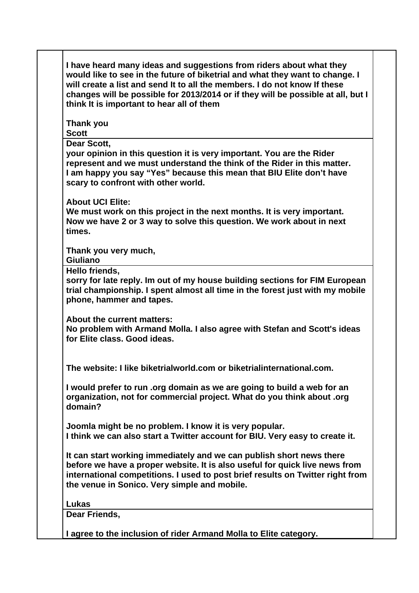| would like to see in the future of biketrial and what they want to change. I<br>will create a list and send It to all the members. I do not know If these<br>changes will be possible for 2013/2014 or if they will be possible at all, but I<br>think It is important to hear all of them |
|--------------------------------------------------------------------------------------------------------------------------------------------------------------------------------------------------------------------------------------------------------------------------------------------|
| Thank you<br><b>Scott</b>                                                                                                                                                                                                                                                                  |
| Dear Scott,<br>your opinion in this question it is very important. You are the Rider<br>represent and we must understand the think of the Rider in this matter.<br>I am happy you say "Yes" because this mean that BIU Elite don't have<br>scary to confront with other world.             |
| <b>About UCI Elite:</b><br>We must work on this project in the next months. It is very important.<br>Now we have 2 or 3 way to solve this question. We work about in next<br>times.                                                                                                        |
| Thank you very much,<br>Giuliano                                                                                                                                                                                                                                                           |
| Hello friends,<br>sorry for late reply. Im out of my house building sections for FIM European<br>trial championship. I spent almost all time in the forest just with my mobile<br>phone, hammer and tapes.                                                                                 |
| About the current matters:<br>No problem with Armand Molla. I also agree with Stefan and Scott's ideas<br>for Elite class, Good ideas.                                                                                                                                                     |
| The website: I like biketrialworld.com or biketrialinternational.com.                                                                                                                                                                                                                      |
| I would prefer to run .org domain as we are going to build a web for an<br>organization, not for commercial project. What do you think about .org<br>domain?                                                                                                                               |
| Joomla might be no problem. I know it is very popular.<br>I think we can also start a Twitter account for BIU. Very easy to create it.                                                                                                                                                     |
| It can start working immediately and we can publish short news there<br>before we have a proper website. It is also useful for quick live news from<br>international competitions. I used to post brief results on Twitter right from<br>the venue in Sonico. Very simple and mobile.      |
| Lukas<br>Dear Friends,                                                                                                                                                                                                                                                                     |
| I agree to the inclusion of rider Armand Molla to Elite category.                                                                                                                                                                                                                          |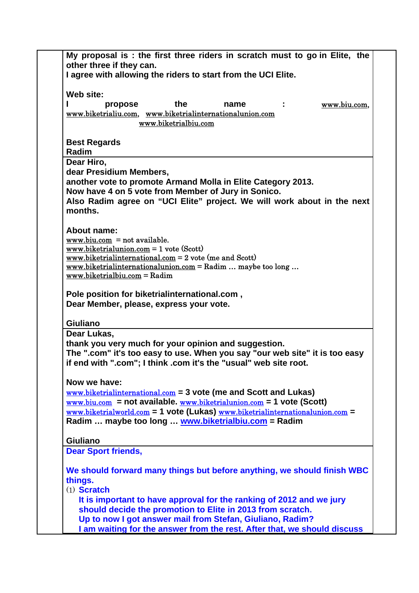| My proposal is : the first three riders in scratch must to go in Elite, the<br>other three if they can.                                                                                                                                                                                                                                                                                   |  |
|-------------------------------------------------------------------------------------------------------------------------------------------------------------------------------------------------------------------------------------------------------------------------------------------------------------------------------------------------------------------------------------------|--|
| I agree with allowing the riders to start from the UCI Elite.                                                                                                                                                                                                                                                                                                                             |  |
| Web site:<br>the<br>www.biu.com,<br>propose<br>name<br>www.biketrialiu.com, www.biketrialinternationalunion.com<br>www.biketrialbiu.com                                                                                                                                                                                                                                                   |  |
| <b>Best Regards</b><br>Radim                                                                                                                                                                                                                                                                                                                                                              |  |
| Dear Hiro,<br>dear Presidium Members,<br>another vote to promote Armand Molla in Elite Category 2013.<br>Now have 4 on 5 vote from Member of Jury in Sonico.<br>Also Radim agree on "UCI Elite" project. We will work about in the next<br>months.                                                                                                                                        |  |
| <b>About name:</b><br>$www.biu.com = not available.$<br>$\underline{\text{www.biketrialunion.com}} = 1 \text{ vote} (\text{Scott})$<br>$\overline{\text{www.biketrialinternational.com}} = 2 \text{ vote (me and Scott)}$<br>$\frac{www.biketrialinternationalunion.com}{$ = Radim  maybe too long<br>$www.biketrialbiu.com = Radim$                                                      |  |
| Pole position for biketrialinternational.com,<br>Dear Member, please, express your vote.                                                                                                                                                                                                                                                                                                  |  |
| Giuliano<br>Dear Lukas,<br>thank you very much for your opinion and suggestion.<br>The ".com" it's too easy to use. When you say "our web site" it is too easy<br>if end with ".com"; I think .com it's the "usual" web site root.                                                                                                                                                        |  |
| Now we have:<br>$www.biketrialinternational.com = 3$ vote (me and Scott and Lukas)<br>$\frac{\text{www.biu.com}}{\text{www.biu.com}}$ = not available. $\frac{\text{www.biketrialunion.com}}{\text{www.biketrialunion.com}}$ = 1 vote (Scott)<br>$www.biketrialworld.com = 1$ vote (Lukas) $www.biketrialinternationalunion.com =$<br>Radim  maybe too long  www.biketrialbiu.com = Radim |  |
| <b>Giuliano</b><br><b>Dear Sport friends,</b>                                                                                                                                                                                                                                                                                                                                             |  |
| We should forward many things but before anything, we should finish WBC<br>things.<br>$(1)$ Scratch                                                                                                                                                                                                                                                                                       |  |
| It is important to have approval for the ranking of 2012 and we jury<br>should decide the promotion to Elite in 2013 from scratch.<br>Up to now I got answer mail from Stefan, Giuliano, Radim?<br>I am waiting for the answer from the rest. After that, we should discuss                                                                                                               |  |